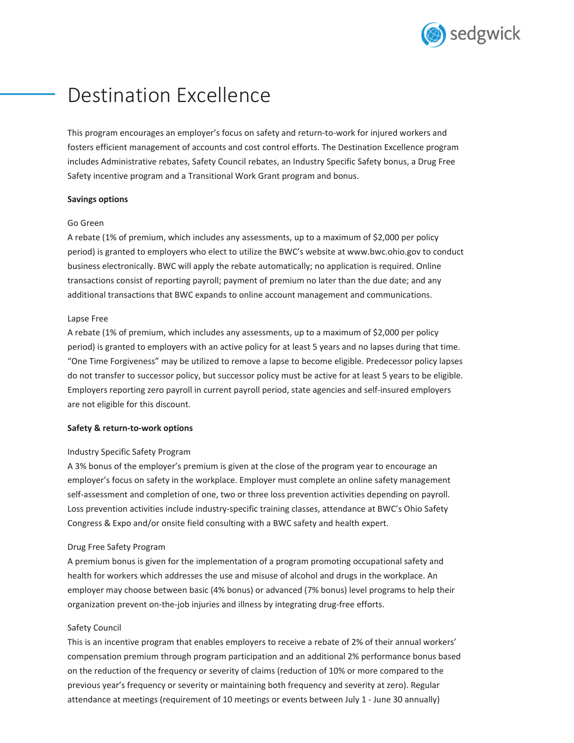

# Destination Excellence

This program encourages an employer's focus on safety and return-to-work for injured workers and fosters efficient management of accounts and cost control efforts. The Destination Excellence program includes Administrative rebates, Safety Council rebates, an Industry Specific Safety bonus, a Drug Free Safety incentive program and a Transitional Work Grant program and bonus.

#### **Savings options**

#### Go Green

A rebate (1% of premium, which includes any assessments, up to a maximum of \$2,000 per policy period) is granted to employers who elect to utilize the BWC's website at www.bwc.ohio.gov to conduct business electronically. BWC will apply the rebate automatically; no application is required. Online transactions consist of reporting payroll; payment of premium no later than the due date; and any additional transactions that BWC expands to online account management and communications.

### Lapse Free

A rebate (1% of premium, which includes any assessments, up to a maximum of \$2,000 per policy period) is granted to employers with an active policy for at least 5 years and no lapses during that time. "One Time Forgiveness" may be utilized to remove a lapse to become eligible. Predecessor policy lapses do not transfer to successor policy, but successor policy must be active for at least 5 years to be eligible. Employers reporting zero payroll in current payroll period, state agencies and self‐insured employers are not eligible for this discount.

# **Safety & return‐to‐work options**

# Industry Specific Safety Program

A 3% bonus of the employer's premium is given at the close of the program year to encourage an employer's focus on safety in the workplace. Employer must complete an online safety management self-assessment and completion of one, two or three loss prevention activities depending on payroll. Loss prevention activities include industry‐specific training classes, attendance at BWC's Ohio Safety Congress & Expo and/or onsite field consulting with a BWC safety and health expert.

#### Drug Free Safety Program

A premium bonus is given for the implementation of a program promoting occupational safety and health for workers which addresses the use and misuse of alcohol and drugs in the workplace. An employer may choose between basic (4% bonus) or advanced (7% bonus) level programs to help their organization prevent on‐the‐job injuries and illness by integrating drug‐free efforts.

# Safety Council

This is an incentive program that enables employers to receive a rebate of 2% of their annual workers' compensation premium through program participation and an additional 2% performance bonus based on the reduction of the frequency or severity of claims (reduction of 10% or more compared to the previous year's frequency or severity or maintaining both frequency and severity at zero). Regular attendance at meetings (requirement of 10 meetings or events between July 1 ‐ June 30 annually)